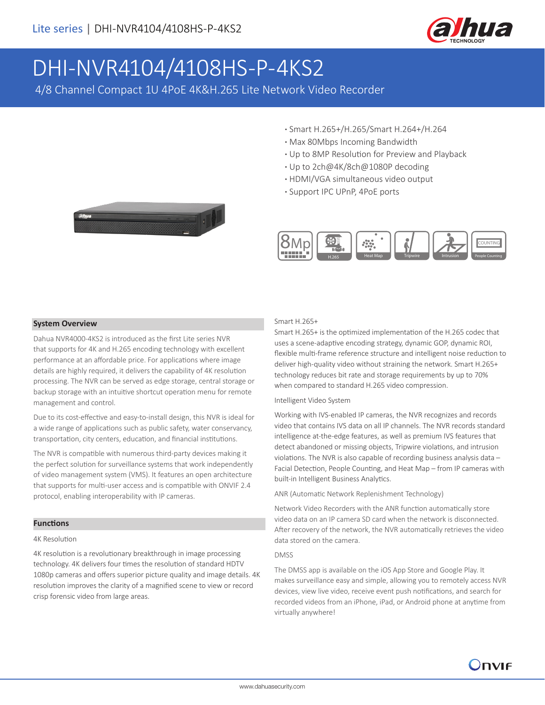

# DHI-NVR4104/4108HS-P-4KS2

4/8 Channel Compact 1U 4PoE 4K&H.265 Lite Network Video Recorder

- **·** Smart H.265+/H.265/Smart H.264+/H.264
- **·** Max 80Mbps Incoming Bandwidth
- **·** Up to 8MP Resolution for Preview and Playback
- **·** Up to 2ch@4K/8ch@1080P decoding
- **·** HDMI/VGA simultaneous video output
- **·** Support IPC UPnP, 4PoE ports





#### **System Overview**

Dahua NVR4000-4KS2 is introduced as the first Lite series NVR that supports for 4K and H.265 encoding technology with excellent performance at an affordable price. For applications where image details are highly required, it delivers the capability of 4K resolution processing. The NVR can be served as edge storage, central storage or backup storage with an intuitive shortcut operation menu for remote management and control.

Due to its cost-effective and easy-to-install design, this NVR is ideal for a wide range of applications such as public safety, water conservancy, transportation, city centers, education, and financial institutions.

The NVR is compatible with numerous third-party devices making it the perfect solution for surveillance systems that work independently of video management system (VMS). It features an open architecture that supports for multi-user access and is compatible with ONVIF 2.4 protocol, enabling interoperability with IP cameras.

#### **Functions**

#### 4K Resolution

4K resolution is a revolutionary breakthrough in image processing technology. 4K delivers four times the resolution of standard HDTV 1080p cameras and offers superior picture quality and image details. 4K resolution improves the clarity of a magnified scene to view or record crisp forensic video from large areas.

#### Smart H.265+

Smart H.265+ is the optimized implementation of the H.265 codec that uses a scene-adaptive encoding strategy, dynamic GOP, dynamic ROI, flexible multi-frame reference structure and intelligent noise reduction to deliver high-quality video without straining the network. Smart H.265+ technology reduces bit rate and storage requirements by up to 70% when compared to standard H.265 video compression.

#### Intelligent Video System

Working with IVS-enabled IP cameras, the NVR recognizes and records video that contains IVS data on all IP channels. The NVR records standard intelligence at-the-edge features, as well as premium IVS features that detect abandoned or missing objects, Tripwire violations, and intrusion violations. The NVR is also capable of recording business analysis data – Facial Detection, People Counting, and Heat Map – from IP cameras with built-in Intelligent Business Analytics.

ANR (Automatic Network Replenishment Technology)

Network Video Recorders with the ANR function automatically store video data on an IP camera SD card when the network is disconnected. After recovery of the network, the NVR automatically retrieves the video data stored on the camera.

#### DMSS

The DMSS app is available on the iOS App Store and Google Play. It makes surveillance easy and simple, allowing you to remotely access NVR devices, view live video, receive event push notifications, and search for recorded videos from an iPhone, iPad, or Android phone at anytime from virtually anywhere!

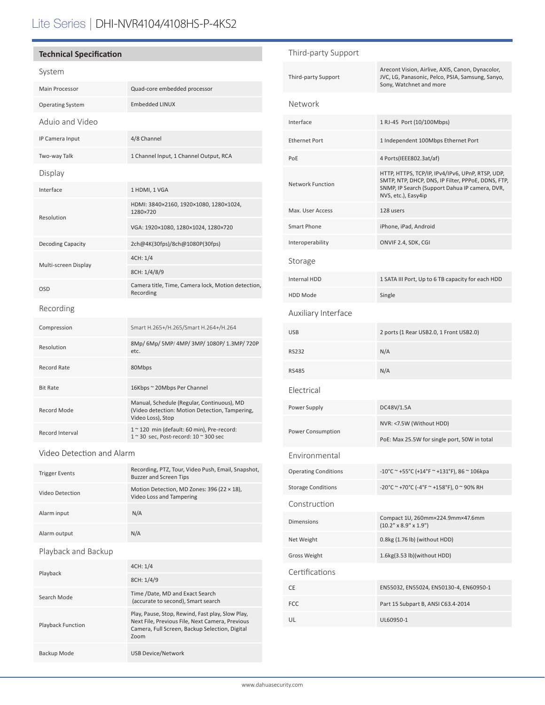# Lite Series | DHI-NVR4104/4108HS-P-4KS2

## **Technical Specification**

## System

| Main Processor           | Quad-core embedded processor                                                                                      |  |
|--------------------------|-------------------------------------------------------------------------------------------------------------------|--|
| <b>Operating System</b>  | <b>Embedded LINUX</b>                                                                                             |  |
| Aduio and Video          |                                                                                                                   |  |
| IP Camera Input          | 4/8 Channel                                                                                                       |  |
| Two-way Talk             | 1 Channel Input, 1 Channel Output, RCA                                                                            |  |
| Display                  |                                                                                                                   |  |
| Interface                | 1 HDMI, 1 VGA                                                                                                     |  |
| Resolution               | HDMI: 3840×2160, 1920×1080, 1280×1024,<br>1280×720                                                                |  |
|                          | VGA: 1920×1080, 1280×1024, 1280×720                                                                               |  |
| <b>Decoding Capacity</b> | 2ch@4K(30fps)/8ch@1080P(30fps)                                                                                    |  |
| Multi-screen Display     | 4CH: 1/4                                                                                                          |  |
|                          | 8CH: 1/4/8/9                                                                                                      |  |
| <b>OSD</b>               | Camera title, Time, Camera lock, Motion detection,<br>Recording                                                   |  |
| Recording                |                                                                                                                   |  |
| Compression              | Smart H.265+/H.265/Smart H.264+/H.264                                                                             |  |
| Resolution               | 8Mp/ 6Mp/ 5MP/ 4MP/ 3MP/ 1080P/ 1.3MP/ 720P<br>etc.                                                               |  |
| <b>Record Rate</b>       | 80Mbps                                                                                                            |  |
| <b>Bit Rate</b>          | 16Kbps ~ 20Mbps Per Channel                                                                                       |  |
| <b>Record Mode</b>       | Manual, Schedule (Regular, Continuous), MD<br>(Video detection: Motion Detection, Tampering,<br>Video Loss), Stop |  |
| <b>Record Interval</b>   | 1~120 min (default: 60 min), Pre-record:<br>1 ~ 30 sec, Post-record: 10 ~ 300 sec                                 |  |

Video Detection and Alarm

| <b>Trigger Events</b> | Recording, PTZ, Tour, Video Push, Email, Snapshot,<br><b>Buzzer and Screen Tips</b> |
|-----------------------|-------------------------------------------------------------------------------------|
| Video Detection       | Motion Detection, MD Zones: 396 (22 × 18),<br>Video Loss and Tampering              |
| Alarm input           | N/A                                                                                 |
| Alarm output          | N/A                                                                                 |
| Playback and Backup   |                                                                                     |
|                       | .                                                                                   |

| Playback                 | 4CH: 1/4                                                                                                                                                      |
|--------------------------|---------------------------------------------------------------------------------------------------------------------------------------------------------------|
|                          | 8CH: 1/4/9                                                                                                                                                    |
| Search Mode              | Time /Date, MD and Exact Search<br>(accurate to second), Smart search                                                                                         |
| <b>Playback Function</b> | Play, Pause, Stop, Rewind, Fast play, Slow Play,<br>Next File, Previous File, Next Camera, Previous<br>Camera, Full Screen, Backup Selection, Digital<br>Zoom |
| Backup Mode              | <b>USB Device/Network</b>                                                                                                                                     |

| Third-party Support         |                                                                                                                                                                                 |  |
|-----------------------------|---------------------------------------------------------------------------------------------------------------------------------------------------------------------------------|--|
| Third-party Support         | Arecont Vision, Airlive, AXIS, Canon, Dynacolor,<br>JVC, LG, Panasonic, Pelco, PSIA, Samsung, Sanyo,<br>Sony, Watchnet and more                                                 |  |
| Network                     |                                                                                                                                                                                 |  |
| Interface                   | 1 RJ-45 Port (10/100Mbps)                                                                                                                                                       |  |
| <b>Ethernet Port</b>        | 1 Independent 100Mbps Ethernet Port                                                                                                                                             |  |
| PoE                         | 4 Ports(IEEE802.3at/af)                                                                                                                                                         |  |
| <b>Network Function</b>     | HTTP, HTTPS, TCP/IP, IPv4/IPv6, UPnP, RTSP, UDP,<br>SMTP, NTP, DHCP, DNS, IP Filter, PPPoE, DDNS, FTP,<br>SNMP, IP Search (Support Dahua IP camera, DVR,<br>NVS, etc.), Easy4ip |  |
| Max. User Access            | 128 users                                                                                                                                                                       |  |
| Smart Phone                 | iPhone, iPad, Android                                                                                                                                                           |  |
| Interoperability            | ONVIF 2.4, SDK, CGI                                                                                                                                                             |  |
| Storage                     |                                                                                                                                                                                 |  |
| Internal HDD                | 1 SATA III Port, Up to 6 TB capacity for each HDD                                                                                                                               |  |
| <b>HDD Mode</b>             | Single                                                                                                                                                                          |  |
| Auxiliary Interface         |                                                                                                                                                                                 |  |
| <b>USB</b>                  | 2 ports (1 Rear USB2.0, 1 Front USB2.0)                                                                                                                                         |  |
| RS232                       | N/A                                                                                                                                                                             |  |
| <b>RS485</b>                | N/A                                                                                                                                                                             |  |
|                             |                                                                                                                                                                                 |  |
| Electrical                  |                                                                                                                                                                                 |  |
| Power Supply                | DC48V/1.5A                                                                                                                                                                      |  |
|                             | NVR: <7.5W (Without HDD)                                                                                                                                                        |  |
| Power Consumption           | PoE: Max 25.5W for single port, 50W in total                                                                                                                                    |  |
| Environmental               |                                                                                                                                                                                 |  |
| <b>Operating Conditions</b> | -10°C ~ +55°C (+14°F ~ +131°F), 86 ~ 106kpa                                                                                                                                     |  |
| <b>Storage Conditions</b>   | $-20^{\circ}$ C ~ +70°C (-4°F ~ +158°F), 0 ~ 90% RH                                                                                                                             |  |
| Construction                |                                                                                                                                                                                 |  |
| <b>Dimensions</b>           | Compact 1U, 260mm×224.9mm×47.6mm<br>$(10.2" \times 8.9" \times 1.9")$                                                                                                           |  |
| Net Weight                  | 0.8kg (1.76 lb) (without HDD)                                                                                                                                                   |  |
| <b>Gross Weight</b>         | 1.6kg(3.53 lb)(without HDD)                                                                                                                                                     |  |
| Certifications              |                                                                                                                                                                                 |  |
| CE                          | EN55032, EN55024, EN50130-4, EN60950-1                                                                                                                                          |  |
| <b>FCC</b>                  | Part 15 Subpart B, ANSI C63.4-2014                                                                                                                                              |  |